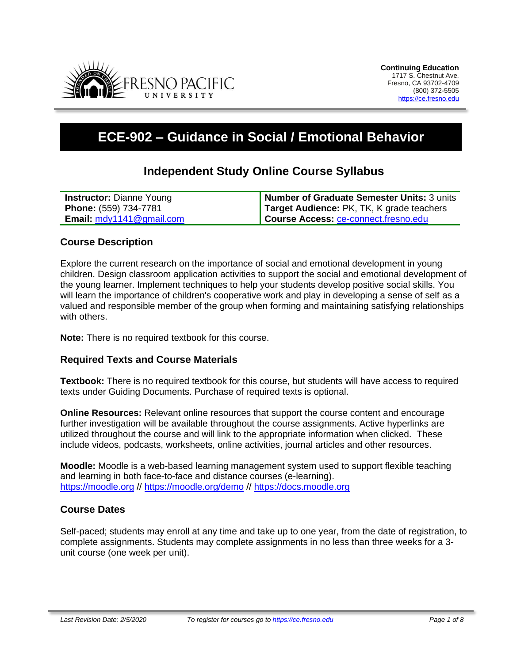

# **ECE-902 – Guidance in Social / Emotional Behavior**

# **Independent Study Online Course Syllabus**

| <b>Instructor: Dianne Young</b>   | Number of Graduate Semester Units: 3 units |
|-----------------------------------|--------------------------------------------|
| Phone: (559) 734-7781             | Target Audience: PK, TK, K grade teachers  |
| <b>Email:</b> $mdy1141@gmail.com$ | I Course Access: ce-connect.fresno.edu     |

## **Course Description**

Explore the current research on the importance of social and emotional development in young children. Design classroom application activities to support the social and emotional development of the young learner. Implement techniques to help your students develop positive social skills. You will learn the importance of children's cooperative work and play in developing a sense of self as a valued and responsible member of the group when forming and maintaining satisfying relationships with others.

**Note:** There is no required textbook for this course.

#### **Required Texts and Course Materials**

**Textbook:** There is no required textbook for this course, but students will have access to required texts under Guiding Documents. Purchase of required texts is optional.

**Online Resources:** Relevant online resources that support the course content and encourage further investigation will be available throughout the course assignments. Active hyperlinks are utilized throughout the course and will link to the appropriate information when clicked. These include videos, podcasts, worksheets, online activities, journal articles and other resources.

**Moodle:** Moodle is a web-based learning management system used to support flexible teaching and learning in both face-to-face and distance courses (e-learning). [https://moodle.org](https://moodle.org/) //<https://moodle.org/demo> // [https://docs.moodle.org](https://docs.moodle.org/)

#### **Course Dates**

Self-paced; students may enroll at any time and take up to one year, from the date of registration, to complete assignments. Students may complete assignments in no less than three weeks for a 3 unit course (one week per unit).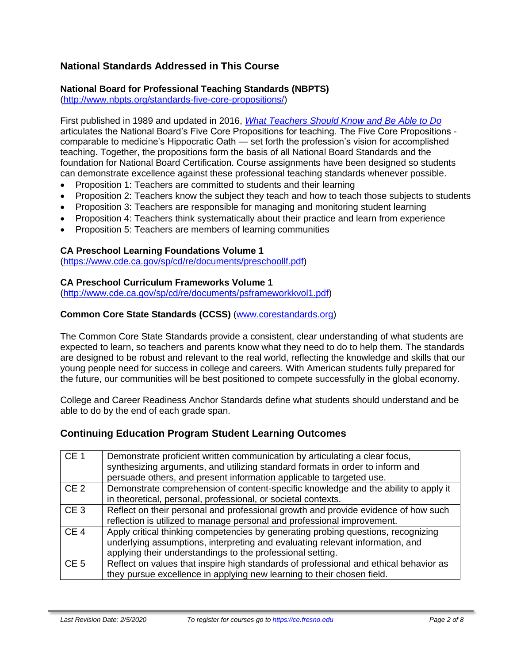# **National Standards Addressed in This Course**

## **National Board for Professional Teaching Standards (NBPTS)**

[\(http://www.nbpts.org/standards-five-core-propositions/\)](http://www.nbpts.org/standards-five-core-propositions/)

First published in 1989 and updated in 2016, *[What Teachers Should Know and Be Able to Do](http://www.accomplishedteacher.org/)* articulates the National Board's Five Core Propositions for teaching. The Five Core Propositions comparable to medicine's Hippocratic Oath — set forth the profession's vision for accomplished teaching. Together, the propositions form the basis of all National Board Standards and the foundation for National Board Certification. Course assignments have been designed so students can demonstrate excellence against these professional teaching standards whenever possible.

- Proposition 1: Teachers are committed to students and their learning
- Proposition 2: Teachers know the subject they teach and how to teach those subjects to students
- Proposition 3: Teachers are responsible for managing and monitoring student learning
- Proposition 4: Teachers think systematically about their practice and learn from experience
- Proposition 5: Teachers are members of learning communities

#### **CA Preschool Learning Foundations Volume 1**

[\(https://www.cde.ca.gov/sp/cd/re/documents/preschoollf.pdf\)](https://www.cde.ca.gov/sp/cd/re/documents/preschoollf.pdf)

#### **CA Preschool Curriculum Frameworks Volume 1**

[\(http://www.cde.ca.gov/sp/cd/re/documents/psframeworkkvol1.pdf\)](http://www.cde.ca.gov/sp/cd/re/documents/psframeworkkvol1.pdf)

#### **Common Core State Standards (CCSS)** [\(www.corestandards.org\)](http://www.corestandards.org/)

The Common Core State Standards provide a consistent, clear understanding of what students are expected to learn, so teachers and parents know what they need to do to help them. The standards are designed to be robust and relevant to the real world, reflecting the knowledge and skills that our young people need for success in college and careers. With American students fully prepared for the future, our communities will be best positioned to compete successfully in the global economy.

College and Career Readiness Anchor Standards define what students should understand and be able to do by the end of each grade span.

# **Continuing Education Program Student Learning Outcomes**

| CE <sub>1</sub> | Demonstrate proficient written communication by articulating a clear focus,<br>synthesizing arguments, and utilizing standard formats in order to inform and<br>persuade others, and present information applicable to targeted use. |
|-----------------|--------------------------------------------------------------------------------------------------------------------------------------------------------------------------------------------------------------------------------------|
| CE <sub>2</sub> | Demonstrate comprehension of content-specific knowledge and the ability to apply it<br>in theoretical, personal, professional, or societal contexts.                                                                                 |
| CE <sub>3</sub> | Reflect on their personal and professional growth and provide evidence of how such<br>reflection is utilized to manage personal and professional improvement.                                                                        |
| CE <sub>4</sub> | Apply critical thinking competencies by generating probing questions, recognizing<br>underlying assumptions, interpreting and evaluating relevant information, and<br>applying their understandings to the professional setting.     |
| CE <sub>5</sub> | Reflect on values that inspire high standards of professional and ethical behavior as<br>they pursue excellence in applying new learning to their chosen field.                                                                      |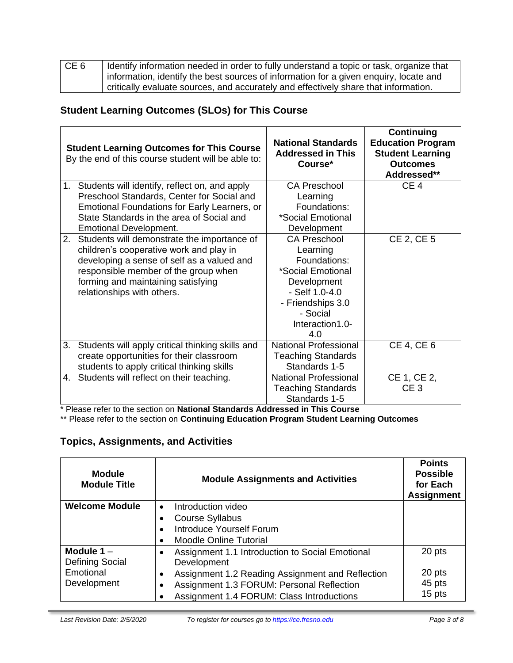| CE <sub>6</sub> | I dentify information needed in order to fully understand a topic or task, organize that |
|-----------------|------------------------------------------------------------------------------------------|
|                 | information, identify the best sources of information for a given enquiry, locate and    |
|                 | critically evaluate sources, and accurately and effectively share that information.      |

# **Student Learning Outcomes (SLOs) for This Course**

| <b>Student Learning Outcomes for This Course</b><br>By the end of this course student will be able to: |                                                                                                                                                                                                                                                  | <b>National Standards</b><br><b>Addressed in This</b><br>Course*                                                                                                 | <b>Continuing</b><br><b>Education Program</b><br><b>Student Learning</b><br><b>Outcomes</b><br>Addressed** |
|--------------------------------------------------------------------------------------------------------|--------------------------------------------------------------------------------------------------------------------------------------------------------------------------------------------------------------------------------------------------|------------------------------------------------------------------------------------------------------------------------------------------------------------------|------------------------------------------------------------------------------------------------------------|
| 1.                                                                                                     | Students will identify, reflect on, and apply<br>Preschool Standards, Center for Social and<br>Emotional Foundations for Early Learners, or<br>State Standards in the area of Social and<br><b>Emotional Development.</b>                        | <b>CA Preschool</b><br>Learning<br>Foundations:<br>*Social Emotional<br>Development                                                                              | CE <sub>4</sub>                                                                                            |
| 2.                                                                                                     | Students will demonstrate the importance of<br>children's cooperative work and play in<br>developing a sense of self as a valued and<br>responsible member of the group when<br>forming and maintaining satisfying<br>relationships with others. | <b>CA Preschool</b><br>Learning<br>Foundations:<br>*Social Emotional<br>Development<br>- Self 1.0-4.0<br>- Friendships 3.0<br>- Social<br>Interaction1.0-<br>4.0 | CE 2, CE 5                                                                                                 |
| 3.                                                                                                     | Students will apply critical thinking skills and<br>create opportunities for their classroom<br>students to apply critical thinking skills                                                                                                       | <b>National Professional</b><br><b>Teaching Standards</b><br>Standards 1-5                                                                                       | CE 4, CE 6                                                                                                 |
| 4.                                                                                                     | Students will reflect on their teaching.                                                                                                                                                                                                         | <b>National Professional</b><br><b>Teaching Standards</b><br>Standards 1-5                                                                                       | CE 1, CE 2,<br>CE <sub>3</sub>                                                                             |

\* Please refer to the section on **National Standards Addressed in This Course**

\*\* Please refer to the section on **Continuing Education Program Student Learning Outcomes**

# **Topics, Assignments, and Activities**

| <b>Module</b><br><b>Module Title</b> | <b>Module Assignments and Activities</b>         | <b>Points</b><br><b>Possible</b><br>for Each<br><b>Assignment</b> |
|--------------------------------------|--------------------------------------------------|-------------------------------------------------------------------|
| <b>Welcome Module</b>                | Introduction video<br>$\bullet$                  |                                                                   |
|                                      | <b>Course Syllabus</b>                           |                                                                   |
|                                      | <b>Introduce Yourself Forum</b>                  |                                                                   |
|                                      | <b>Moodle Online Tutorial</b>                    |                                                                   |
| Module $1 -$                         | Assignment 1.1 Introduction to Social Emotional  | 20 pts                                                            |
| Defining Social<br>Development       |                                                  |                                                                   |
| Emotional                            | Assignment 1.2 Reading Assignment and Reflection | 20 pts                                                            |
| Development                          | Assignment 1.3 FORUM: Personal Reflection        | 45 pts                                                            |
|                                      | Assignment 1.4 FORUM: Class Introductions        | 15 pts                                                            |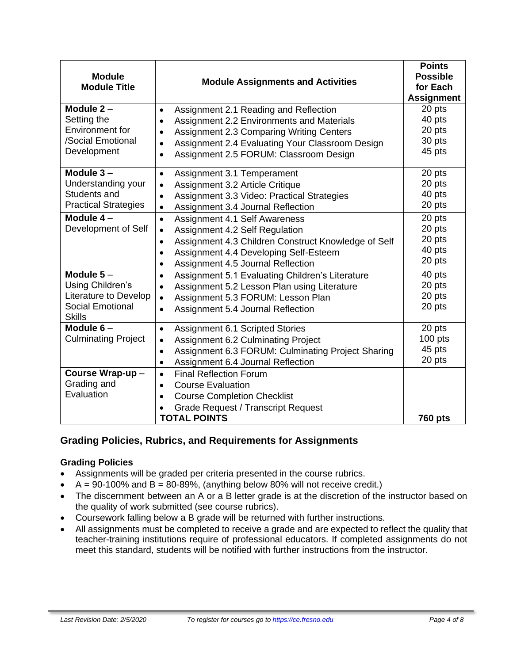| <b>Module</b><br><b>Module Title</b> | <b>Module Assignments and Activities</b>                       | <b>Points</b><br><b>Possible</b><br>for Each<br><b>Assignment</b> |
|--------------------------------------|----------------------------------------------------------------|-------------------------------------------------------------------|
| Module $2 -$                         | Assignment 2.1 Reading and Reflection<br>$\bullet$             | 20 pts                                                            |
| Setting the                          | Assignment 2.2 Environments and Materials<br>$\bullet$         | 40 pts                                                            |
| <b>Environment for</b>               | <b>Assignment 2.3 Comparing Writing Centers</b>                | 20 pts                                                            |
| /Social Emotional                    | Assignment 2.4 Evaluating Your Classroom Design                | 30 pts                                                            |
| Development                          | Assignment 2.5 FORUM: Classroom Design                         | 45 pts                                                            |
| Module $3 -$                         | Assignment 3.1 Temperament<br>$\bullet$                        | 20 pts                                                            |
| Understanding your                   | Assignment 3.2 Article Critique                                | 20 pts                                                            |
| Students and                         | Assignment 3.3 Video: Practical Strategies<br>$\bullet$        | 40 pts                                                            |
| <b>Practical Strategies</b>          | Assignment 3.4 Journal Reflection<br>$\bullet$                 | 20 pts                                                            |
| Module $4-$                          | Assignment 4.1 Self Awareness<br>$\bullet$                     | 20 pts                                                            |
| Development of Self                  | Assignment 4.2 Self Regulation                                 | 20 pts                                                            |
|                                      | Assignment 4.3 Children Construct Knowledge of Self            | 20 pts                                                            |
|                                      | Assignment 4.4 Developing Self-Esteem<br>$\bullet$             | 40 pts                                                            |
|                                      | Assignment 4.5 Journal Reflection                              | 20 pts                                                            |
| Module $5-$                          | Assignment 5.1 Evaluating Children's Literature<br>$\bullet$   | 40 pts                                                            |
| Using Children's                     | Assignment 5.2 Lesson Plan using Literature                    | 20 pts                                                            |
| Literature to Develop                | Assignment 5.3 FORUM: Lesson Plan                              | 20 pts                                                            |
| Social Emotional<br><b>Skills</b>    | Assignment 5.4 Journal Reflection                              | 20 pts                                                            |
| Module $6-$                          | Assignment 6.1 Scripted Stories<br>$\bullet$                   | 20 pts                                                            |
| <b>Culminating Project</b>           | <b>Assignment 6.2 Culminating Project</b>                      | $100$ pts                                                         |
|                                      | Assignment 6.3 FORUM: Culminating Project Sharing<br>$\bullet$ | 45 pts                                                            |
|                                      | Assignment 6.4 Journal Reflection<br>$\bullet$                 | 20 pts                                                            |
| Course Wrap-up-                      | <b>Final Reflection Forum</b><br>$\bullet$                     |                                                                   |
| Grading and                          | <b>Course Evaluation</b>                                       |                                                                   |
| Evaluation                           | <b>Course Completion Checklist</b>                             |                                                                   |
|                                      | <b>Grade Request / Transcript Request</b>                      |                                                                   |
|                                      | <b>TOTAL POINTS</b>                                            | <b>760 pts</b>                                                    |

# **Grading Policies, Rubrics, and Requirements for Assignments**

#### **Grading Policies**

- Assignments will be graded per criteria presented in the course rubrics.
- $A = 90-100\%$  and  $B = 80-89\%$ , (anything below 80% will not receive credit.)
- The discernment between an A or a B letter grade is at the discretion of the instructor based on the quality of work submitted (see course rubrics).
- Coursework falling below a B grade will be returned with further instructions.
- All assignments must be completed to receive a grade and are expected to reflect the quality that teacher-training institutions require of professional educators. If completed assignments do not meet this standard, students will be notified with further instructions from the instructor.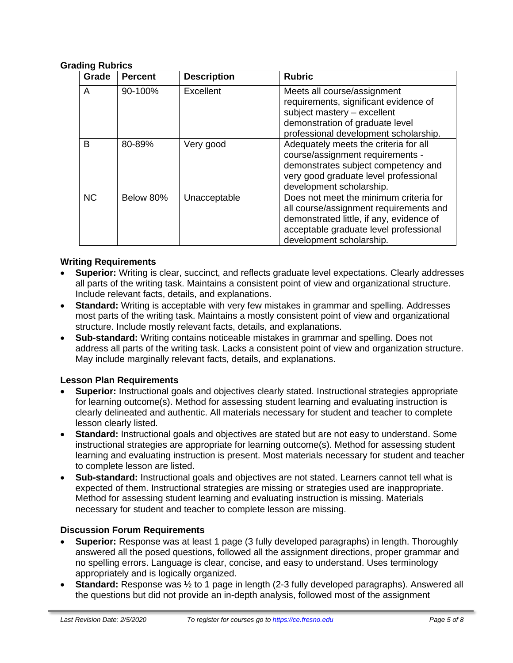#### **Grading Rubrics**

| Grade     | <b>Percent</b> | <b>Description</b> | <b>Rubric</b>                                                                                                                                                                                      |
|-----------|----------------|--------------------|----------------------------------------------------------------------------------------------------------------------------------------------------------------------------------------------------|
| A         | 90-100%        | Excellent          | Meets all course/assignment<br>requirements, significant evidence of<br>subject mastery - excellent<br>demonstration of graduate level<br>professional development scholarship.                    |
| B         | 80-89%         | Very good          | Adequately meets the criteria for all<br>course/assignment requirements -<br>demonstrates subject competency and<br>very good graduate level professional<br>development scholarship.              |
| <b>NC</b> | Below 80%      | Unacceptable       | Does not meet the minimum criteria for<br>all course/assignment requirements and<br>demonstrated little, if any, evidence of<br>acceptable graduate level professional<br>development scholarship. |

#### **Writing Requirements**

- **Superior:** Writing is clear, succinct, and reflects graduate level expectations. Clearly addresses all parts of the writing task. Maintains a consistent point of view and organizational structure. Include relevant facts, details, and explanations.
- **Standard:** Writing is acceptable with very few mistakes in grammar and spelling. Addresses most parts of the writing task. Maintains a mostly consistent point of view and organizational structure. Include mostly relevant facts, details, and explanations.
- **Sub-standard:** Writing contains noticeable mistakes in grammar and spelling. Does not address all parts of the writing task. Lacks a consistent point of view and organization structure. May include marginally relevant facts, details, and explanations.

#### **Lesson Plan Requirements**

- **Superior:** Instructional goals and objectives clearly stated. Instructional strategies appropriate for learning outcome(s). Method for assessing student learning and evaluating instruction is clearly delineated and authentic. All materials necessary for student and teacher to complete lesson clearly listed.
- **Standard:** Instructional goals and objectives are stated but are not easy to understand. Some instructional strategies are appropriate for learning outcome(s). Method for assessing student learning and evaluating instruction is present. Most materials necessary for student and teacher to complete lesson are listed.
- **Sub-standard:** Instructional goals and objectives are not stated. Learners cannot tell what is expected of them. Instructional strategies are missing or strategies used are inappropriate. Method for assessing student learning and evaluating instruction is missing. Materials necessary for student and teacher to complete lesson are missing.

#### **Discussion Forum Requirements**

- **Superior:** Response was at least 1 page (3 fully developed paragraphs) in length. Thoroughly answered all the posed questions, followed all the assignment directions, proper grammar and no spelling errors. Language is clear, concise, and easy to understand. Uses terminology appropriately and is logically organized.
- **Standard:** Response was ½ to 1 page in length (2-3 fully developed paragraphs). Answered all the questions but did not provide an in-depth analysis, followed most of the assignment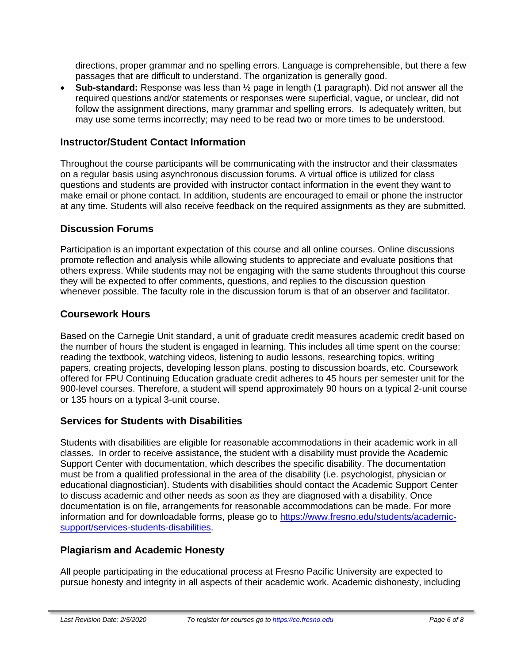directions, proper grammar and no spelling errors. Language is comprehensible, but there a few passages that are difficult to understand. The organization is generally good.

• **Sub-standard:** Response was less than ½ page in length (1 paragraph). Did not answer all the required questions and/or statements or responses were superficial, vague, or unclear, did not follow the assignment directions, many grammar and spelling errors. Is adequately written, but may use some terms incorrectly; may need to be read two or more times to be understood.

#### **Instructor/Student Contact Information**

Throughout the course participants will be communicating with the instructor and their classmates on a regular basis using asynchronous discussion forums. A virtual office is utilized for class questions and students are provided with instructor contact information in the event they want to make email or phone contact. In addition, students are encouraged to email or phone the instructor at any time. Students will also receive feedback on the required assignments as they are submitted.

## **Discussion Forums**

Participation is an important expectation of this course and all online courses. Online discussions promote reflection and analysis while allowing students to appreciate and evaluate positions that others express. While students may not be engaging with the same students throughout this course they will be expected to offer comments, questions, and replies to the discussion question whenever possible. The faculty role in the discussion forum is that of an observer and facilitator.

## **Coursework Hours**

Based on the Carnegie Unit standard, a unit of graduate credit measures academic credit based on the number of hours the student is engaged in learning. This includes all time spent on the course: reading the textbook, watching videos, listening to audio lessons, researching topics, writing papers, creating projects, developing lesson plans, posting to discussion boards, etc. Coursework offered for FPU Continuing Education graduate credit adheres to 45 hours per semester unit for the 900-level courses. Therefore, a student will spend approximately 90 hours on a typical 2-unit course or 135 hours on a typical 3-unit course.

# **Services for Students with Disabilities**

Students with disabilities are eligible for reasonable accommodations in their academic work in all classes. In order to receive assistance, the student with a disability must provide the Academic Support Center with documentation, which describes the specific disability. The documentation must be from a qualified professional in the area of the disability (i.e. psychologist, physician or educational diagnostician). Students with disabilities should contact the Academic Support Center to discuss academic and other needs as soon as they are diagnosed with a disability. Once documentation is on file, arrangements for reasonable accommodations can be made. For more information and for downloadable forms, please go to [https://www.fresno.edu/students/academic](https://www.fresno.edu/students/academic-support/services-students-disabilities)[support/services-students-disabilities.](https://www.fresno.edu/students/academic-support/services-students-disabilities)

# **Plagiarism and Academic Honesty**

All people participating in the educational process at Fresno Pacific University are expected to pursue honesty and integrity in all aspects of their academic work. Academic dishonesty, including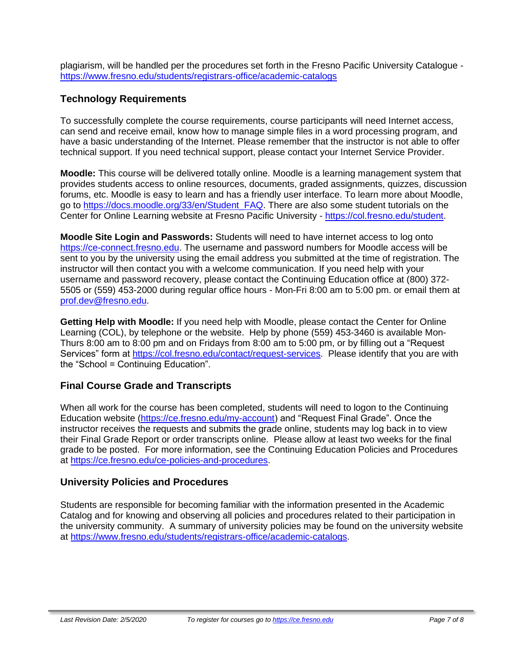plagiarism, will be handled per the procedures set forth in the Fresno Pacific University Catalogue <https://www.fresno.edu/students/registrars-office/academic-catalogs>

# **Technology Requirements**

To successfully complete the course requirements, course participants will need Internet access, can send and receive email, know how to manage simple files in a word processing program, and have a basic understanding of the Internet. Please remember that the instructor is not able to offer technical support. If you need technical support, please contact your Internet Service Provider.

**Moodle:** This course will be delivered totally online. Moodle is a learning management system that provides students access to online resources, documents, graded assignments, quizzes, discussion forums, etc. Moodle is easy to learn and has a friendly user interface. To learn more about Moodle, go to [https://docs.moodle.org/33/en/Student\\_FAQ.](https://docs.moodle.org/33/en/Student_FAQ) There are also some student tutorials on the Center for Online Learning website at Fresno Pacific University - [https://col.fresno.edu/student.](https://col.fresno.edu/student)

**Moodle Site Login and Passwords:** Students will need to have internet access to log onto [https://ce-connect.fresno.edu.](https://ce-connect.fresno.edu/) The username and password numbers for Moodle access will be sent to you by the university using the email address you submitted at the time of registration. The instructor will then contact you with a welcome communication. If you need help with your username and password recovery, please contact the Continuing Education office at (800) 372- 5505 or (559) 453-2000 during regular office hours - Mon-Fri 8:00 am to 5:00 pm. or email them at [prof.dev@fresno.edu.](mailto:prof.dev@fresno.edu)

**Getting Help with Moodle:** If you need help with Moodle, please contact the Center for Online Learning (COL), by telephone or the website. Help by phone (559) 453-3460 is available Mon-Thurs 8:00 am to 8:00 pm and on Fridays from 8:00 am to 5:00 pm, or by filling out a "Request Services" form at [https://col.fresno.edu/contact/request-services.](https://col.fresno.edu/contact/request-services) Please identify that you are with the "School = Continuing Education".

# **Final Course Grade and Transcripts**

When all work for the course has been completed, students will need to logon to the Continuing Education website [\(https://ce.fresno.edu/my-account\)](https://ce.fresno.edu/my-account) and "Request Final Grade". Once the instructor receives the requests and submits the grade online, students may log back in to view their Final Grade Report or order transcripts online. Please allow at least two weeks for the final grade to be posted. For more information, see the Continuing Education Policies and Procedures at [https://ce.fresno.edu/ce-policies-and-procedures.](https://ce.fresno.edu/ce-policies-and-procedures)

# **University Policies and Procedures**

Students are responsible for becoming familiar with the information presented in the Academic Catalog and for knowing and observing all policies and procedures related to their participation in the university community. A summary of university policies may be found on the university website at [https://www.fresno.edu/students/registrars-office/academic-catalogs.](https://www.fresno.edu/students/registrars-office/academic-catalogs)